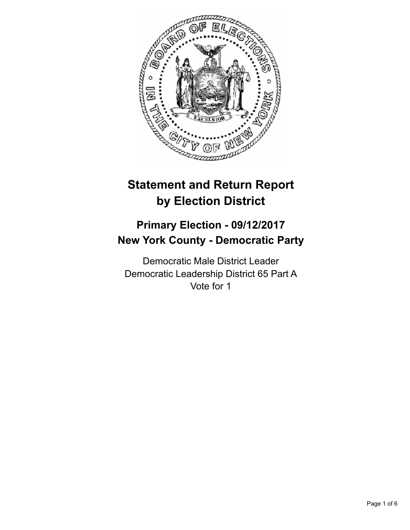

# **Statement and Return Report by Election District**

# **Primary Election - 09/12/2017 New York County - Democratic Party**

Democratic Male District Leader Democratic Leadership District 65 Part A Vote for 1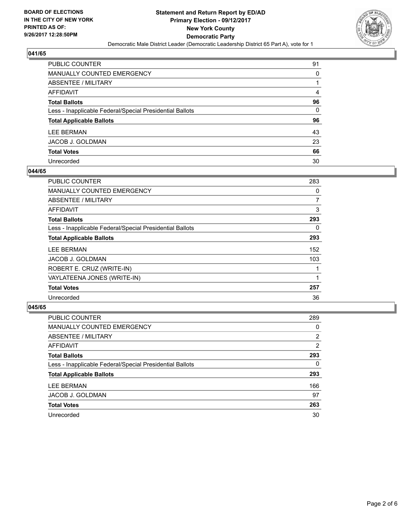

| PUBLIC COUNTER                                           | 91 |
|----------------------------------------------------------|----|
| <b>MANUALLY COUNTED EMERGENCY</b>                        | 0  |
| <b>ABSENTEE / MILITARY</b>                               |    |
| AFFIDAVIT                                                | 4  |
| <b>Total Ballots</b>                                     | 96 |
| Less - Inapplicable Federal/Special Presidential Ballots | 0  |
| <b>Total Applicable Ballots</b>                          | 96 |
| <b>LEE BERMAN</b>                                        | 43 |
| JACOB J. GOLDMAN                                         | 23 |
| <b>Total Votes</b>                                       | 66 |
| Unrecorded                                               | 30 |

# **044/65**

| <b>PUBLIC COUNTER</b>                                    | 283 |
|----------------------------------------------------------|-----|
| <b>MANUALLY COUNTED EMERGENCY</b>                        | 0   |
| ABSENTEE / MILITARY                                      | 7   |
| AFFIDAVIT                                                | 3   |
| <b>Total Ballots</b>                                     | 293 |
| Less - Inapplicable Federal/Special Presidential Ballots | 0   |
| <b>Total Applicable Ballots</b>                          | 293 |
| LEE BERMAN                                               | 152 |
| <b>JACOB J. GOLDMAN</b>                                  | 103 |
| ROBERT E. CRUZ (WRITE-IN)                                |     |
| VAYLATEENA JONES (WRITE-IN)                              |     |
| <b>Total Votes</b>                                       | 257 |
| Unrecorded                                               | 36  |

| <b>PUBLIC COUNTER</b>                                    | 289 |
|----------------------------------------------------------|-----|
| <b>MANUALLY COUNTED EMERGENCY</b>                        | 0   |
| ABSENTEE / MILITARY                                      | 2   |
| AFFIDAVIT                                                | 2   |
| <b>Total Ballots</b>                                     | 293 |
| Less - Inapplicable Federal/Special Presidential Ballots | 0   |
| <b>Total Applicable Ballots</b>                          | 293 |
| <b>LEE BERMAN</b>                                        | 166 |
| JACOB J. GOLDMAN                                         | 97  |
| <b>Total Votes</b>                                       | 263 |
| Unrecorded                                               | 30  |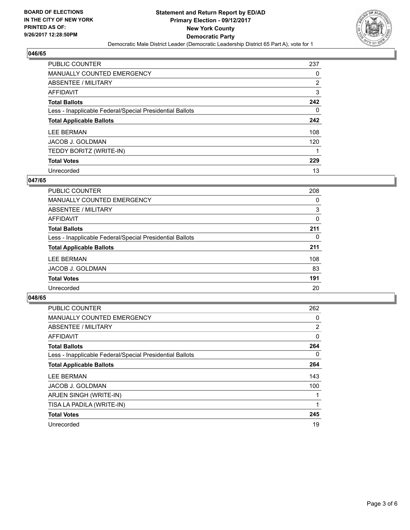

| PUBLIC COUNTER                                           | 237            |
|----------------------------------------------------------|----------------|
| <b>MANUALLY COUNTED EMERGENCY</b>                        | 0              |
| ABSENTEE / MILITARY                                      | $\overline{2}$ |
| AFFIDAVIT                                                | 3              |
| <b>Total Ballots</b>                                     | 242            |
| Less - Inapplicable Federal/Special Presidential Ballots | 0              |
| <b>Total Applicable Ballots</b>                          | 242            |
| <b>LEE BERMAN</b>                                        | 108            |
| JACOB J. GOLDMAN                                         | 120            |
| TEDDY BORITZ (WRITE-IN)                                  |                |
| <b>Total Votes</b>                                       | 229            |
| Unrecorded                                               | 13             |

# **047/65**

| <b>PUBLIC COUNTER</b>                                    | 208 |
|----------------------------------------------------------|-----|
| <b>MANUALLY COUNTED EMERGENCY</b>                        | 0   |
| ABSENTEE / MILITARY                                      | 3   |
| <b>AFFIDAVIT</b>                                         | 0   |
| <b>Total Ballots</b>                                     | 211 |
| Less - Inapplicable Federal/Special Presidential Ballots | 0   |
| <b>Total Applicable Ballots</b>                          | 211 |
| <b>LEE BERMAN</b>                                        | 108 |
| <b>JACOB J. GOLDMAN</b>                                  | 83  |
| <b>Total Votes</b>                                       | 191 |
| Unrecorded                                               | 20  |

| <b>PUBLIC COUNTER</b>                                    | 262            |
|----------------------------------------------------------|----------------|
| <b>MANUALLY COUNTED EMERGENCY</b>                        | 0              |
| ABSENTEE / MILITARY                                      | $\overline{2}$ |
| AFFIDAVIT                                                | 0              |
| <b>Total Ballots</b>                                     | 264            |
| Less - Inapplicable Federal/Special Presidential Ballots | 0              |
| <b>Total Applicable Ballots</b>                          | 264            |
| <b>LEE BERMAN</b>                                        | 143            |
| <b>JACOB J. GOLDMAN</b>                                  | 100            |
| ARJEN SINGH (WRITE-IN)                                   |                |
| TISA LA PADILA (WRITE-IN)                                | 1              |
| <b>Total Votes</b>                                       | 245            |
| Unrecorded                                               | 19             |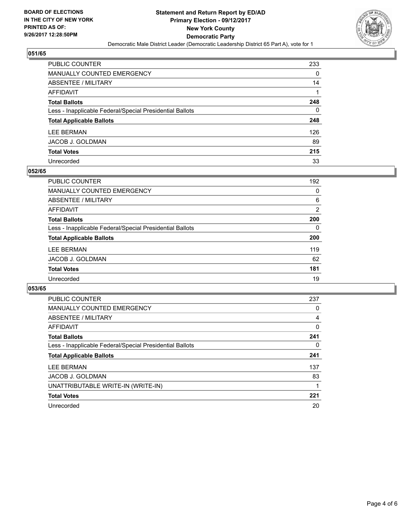

| <b>PUBLIC COUNTER</b>                                    | 233 |
|----------------------------------------------------------|-----|
| <b>MANUALLY COUNTED EMERGENCY</b>                        | 0   |
| <b>ABSENTEE / MILITARY</b>                               | 14  |
| <b>AFFIDAVIT</b>                                         |     |
| <b>Total Ballots</b>                                     | 248 |
| Less - Inapplicable Federal/Special Presidential Ballots | 0   |
| <b>Total Applicable Ballots</b>                          | 248 |
| <b>LEE BERMAN</b>                                        | 126 |
| <b>JACOB J. GOLDMAN</b>                                  | 89  |
| <b>Total Votes</b>                                       | 215 |
| Unrecorded                                               | 33  |

### **052/65**

| <b>PUBLIC COUNTER</b>                                    | 192 |
|----------------------------------------------------------|-----|
| MANUALLY COUNTED EMERGENCY                               | 0   |
| ABSENTEE / MILITARY                                      | 6   |
| AFFIDAVIT                                                | 2   |
| <b>Total Ballots</b>                                     | 200 |
| Less - Inapplicable Federal/Special Presidential Ballots | 0   |
| <b>Total Applicable Ballots</b>                          | 200 |
| <b>LEE BERMAN</b>                                        | 119 |
| <b>JACOB J. GOLDMAN</b>                                  | 62  |
| <b>Total Votes</b>                                       | 181 |
| Unrecorded                                               | 19  |

| <b>PUBLIC COUNTER</b>                                    | 237 |
|----------------------------------------------------------|-----|
| <b>MANUALLY COUNTED EMERGENCY</b>                        | 0   |
| ABSENTEE / MILITARY                                      | 4   |
| AFFIDAVIT                                                | 0   |
| <b>Total Ballots</b>                                     | 241 |
| Less - Inapplicable Federal/Special Presidential Ballots | 0   |
| <b>Total Applicable Ballots</b>                          | 241 |
| <b>LEE BERMAN</b>                                        | 137 |
| JACOB J. GOLDMAN                                         | 83  |
| UNATTRIBUTABLE WRITE-IN (WRITE-IN)                       |     |
| <b>Total Votes</b>                                       | 221 |
| Unrecorded                                               | 20  |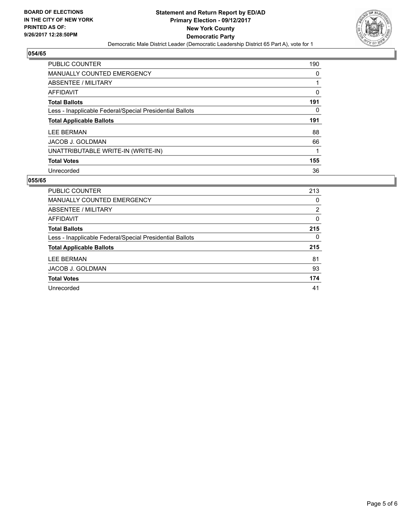

| <b>PUBLIC COUNTER</b>                                    | 190 |
|----------------------------------------------------------|-----|
| MANUALLY COUNTED EMERGENCY                               | 0   |
| ABSENTEE / MILITARY                                      |     |
| AFFIDAVIT                                                | 0   |
| <b>Total Ballots</b>                                     | 191 |
| Less - Inapplicable Federal/Special Presidential Ballots | 0   |
| <b>Total Applicable Ballots</b>                          | 191 |
|                                                          |     |
| LEE BERMAN                                               | 88  |
| JACOB J. GOLDMAN                                         | 66  |
| UNATTRIBUTABLE WRITE-IN (WRITE-IN)                       |     |
| <b>Total Votes</b>                                       | 155 |

| PUBLIC COUNTER                                           | 213      |
|----------------------------------------------------------|----------|
| <b>MANUALLY COUNTED EMERGENCY</b>                        | 0        |
| ABSENTEE / MILITARY                                      | 2        |
| AFFIDAVIT                                                | 0        |
| <b>Total Ballots</b>                                     | 215      |
| Less - Inapplicable Federal/Special Presidential Ballots | $\Omega$ |
| <b>Total Applicable Ballots</b>                          | 215      |
| <b>LEE BERMAN</b>                                        | 81       |
| <b>JACOB J. GOLDMAN</b>                                  | 93       |
| <b>Total Votes</b>                                       | 174      |
| Unrecorded                                               | 41       |